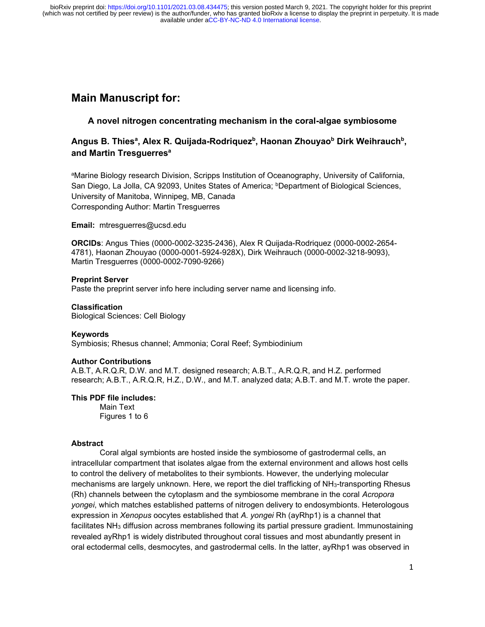# **Main Manuscript for:**

## **A novel nitrogen concentrating mechanism in the coral-algae symbiosome**

## **Angus B. Thies<sup>a</sup> , Alex R. Quijada-Rodriquez<sup>b</sup> , Haonan Zhouyao<sup>b</sup> Dirk Weihrauch<sup>b</sup> , and Martin Tresguerres<sup>a</sup>**

<sup>a</sup>Marine Biology research Division, Scripps Institution of Oceanography, University of California, San Diego, La Jolla, CA 92093, Unites States of America; <sup>b</sup>Department of Biological Sciences, University of Manitoba, Winnipeg, MB, Canada Corresponding Author: Martin Tresguerres

**Email:** mtresguerres@ucsd.edu

**ORCIDs**: Angus Thies (0000-0002-3235-2436), Alex R Quijada-Rodriquez (0000-0002-2654- 4781), Haonan Zhouyao (0000-0001-5924-928X), Dirk Weihrauch (0000-0002-3218-9093), Martin Tresguerres (0000-0002-7090-9266)

## **Preprint Server**

Paste the preprint server info here including server name and licensing info.

## **Classification**

Biological Sciences: Cell Biology

#### **Keywords**

Symbiosis; Rhesus channel; Ammonia; Coral Reef; Symbiodinium

## **Author Contributions**

A.B.T, A.R.Q.R, D.W. and M.T. designed research; A.B.T., A.R.Q.R, and H.Z. performed research; A.B.T., A.R.Q.R, H.Z., D.W., and M.T. analyzed data; A.B.T. and M.T. wrote the paper.

## **This PDF file includes:**

Main Text Figures 1 to 6

## **Abstract**

Coral algal symbionts are hosted inside the symbiosome of gastrodermal cells, an intracellular compartment that isolates algae from the external environment and allows host cells to control the delivery of metabolites to their symbionts. However, the underlying molecular mechanisms are largely unknown. Here, we report the diel trafficking of NH<sub>3</sub>-transporting Rhesus (Rh) channels between the cytoplasm and the symbiosome membrane in the coral *Acropora yongei*, which matches established patterns of nitrogen delivery to endosymbionts. Heterologous expression in *Xenopus* oocytes established that *A. yongei* Rh (ayRhp1) is a channel that facilitates NH<sub>3</sub> diffusion across membranes following its partial pressure gradient. Immunostaining revealed ayRhp1 is widely distributed throughout coral tissues and most abundantly present in oral ectodermal cells, desmocytes, and gastrodermal cells. In the latter, ayRhp1 was observed in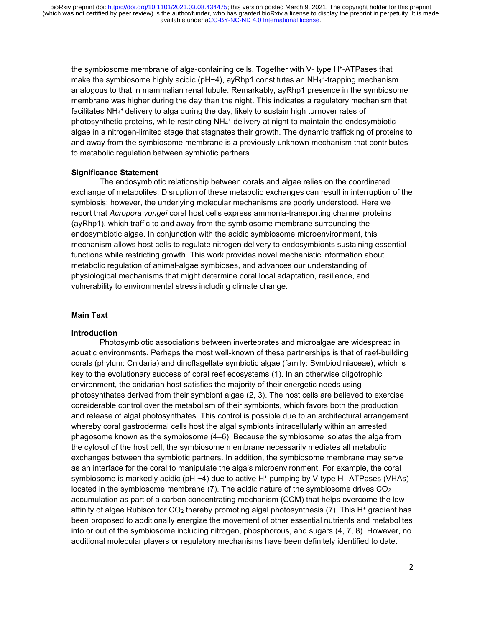the symbiosome membrane of alga-containing cells. Together with V- type H<sup>+</sup> -ATPases that make the symbiosome highly acidic (pH~4), ayRhp1 constitutes an NH<sub>4</sub>+-trapping mechanism analogous to that in mammalian renal tubule. Remarkably, ayRhp1 presence in the symbiosome membrane was higher during the day than the night. This indicates a regulatory mechanism that facilitates  $NH_4^+$  delivery to alga during the day, likely to sustain high turnover rates of photosynthetic proteins, while restricting NH<sub>4</sub><sup>+</sup> delivery at night to maintain the endosymbiotic algae in a nitrogen-limited stage that stagnates their growth. The dynamic trafficking of proteins to and away from the symbiosome membrane is a previously unknown mechanism that contributes to metabolic regulation between symbiotic partners.

## **Significance Statement**

The endosymbiotic relationship between corals and algae relies on the coordinated exchange of metabolites. Disruption of these metabolic exchanges can result in interruption of the symbiosis; however, the underlying molecular mechanisms are poorly understood. Here we report that *Acropora yongei* coral host cells express ammonia-transporting channel proteins (ayRhp1), which traffic to and away from the symbiosome membrane surrounding the endosymbiotic algae. In conjunction with the acidic symbiosome microenvironment, this mechanism allows host cells to regulate nitrogen delivery to endosymbionts sustaining essential functions while restricting growth. This work provides novel mechanistic information about metabolic regulation of animal-algae symbioses, and advances our understanding of physiological mechanisms that might determine coral local adaptation, resilience, and vulnerability to environmental stress including climate change.

## **Main Text**

#### **Introduction**

Photosymbiotic associations between invertebrates and microalgae are widespread in aquatic environments. Perhaps the most well-known of these partnerships is that of reef-building corals (phylum: Cnidaria) and dinoflagellate symbiotic algae (family: Symbiodiniaceae), which is key to the evolutionary success of coral reef ecosystems (1). In an otherwise oligotrophic environment, the cnidarian host satisfies the majority of their energetic needs using photosynthates derived from their symbiont algae (2, 3). The host cells are believed to exercise considerable control over the metabolism of their symbionts, which favors both the production and release of algal photosynthates. This control is possible due to an architectural arrangement whereby coral gastrodermal cells host the algal symbionts intracellularly within an arrested phagosome known as the symbiosome (4–6). Because the symbiosome isolates the alga from the cytosol of the host cell, the symbiosome membrane necessarily mediates all metabolic exchanges between the symbiotic partners. In addition, the symbiosome membrane may serve as an interface for the coral to manipulate the alga's microenvironment. For example, the coral symbiosome is markedly acidic (pH ~4) due to active H\* pumping by V-type H\*-ATPases (VHAs) located in the symbiosome membrane (7). The acidic nature of the symbiosome drives  $CO<sub>2</sub>$ accumulation as part of a carbon concentrating mechanism (CCM) that helps overcome the low affinity of algae Rubisco for  $CO<sub>2</sub>$  thereby promoting algal photosynthesis (7). This H<sup>+</sup> gradient has been proposed to additionally energize the movement of other essential nutrients and metabolites into or out of the symbiosome including nitrogen, phosphorous, and sugars (4, 7, 8). However, no additional molecular players or regulatory mechanisms have been definitely identified to date.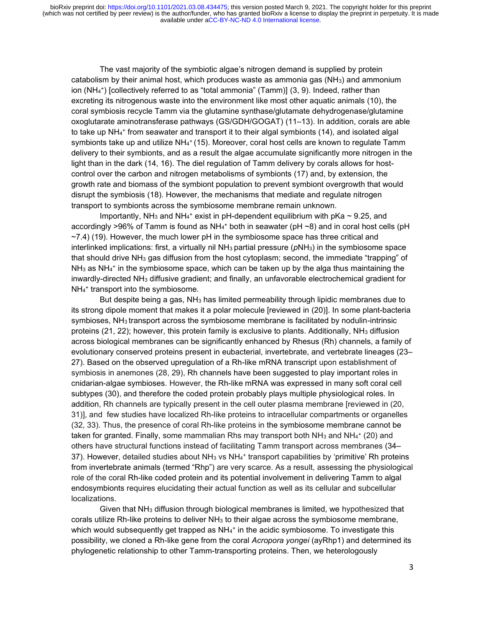The vast majority of the symbiotic algae's nitrogen demand is supplied by protein catabolism by their animal host, which produces waste as ammonia gas  $(NH<sub>3</sub>)$  and ammonium ion (NH<sup>4</sup> + ) [collectively referred to as "total ammonia" (Tamm)] (3, 9). Indeed, rather than excreting its nitrogenous waste into the environment like most other aquatic animals (10), the coral symbiosis recycle Tamm via the glutamine synthase/glutamate dehydrogenase/glutamine oxoglutarate aminotransferase pathways (GS/GDH/GOGAT) (11–13). In addition, corals are able to take up NH<sup>4</sup> + from seawater and transport it to their algal symbionts (14), and isolated algal symbionts take up and utilize NH $_4^*$  (15). Moreover, coral host cells are known to regulate Tamm delivery to their symbionts, and as a result the algae accumulate significantly more nitrogen in the light than in the dark (14, 16). The diel regulation of Tamm delivery by corals allows for hostcontrol over the carbon and nitrogen metabolisms of symbionts (17) and, by extension, the growth rate and biomass of the symbiont population to prevent symbiont overgrowth that would disrupt the symbiosis (18). However, the mechanisms that mediate and regulate nitrogen transport to symbionts across the symbiosome membrane remain unknown.

Importantly, NH $_3$  and NH $_4$ <sup>+</sup> exist in pH-dependent equilibrium with pKa  $\sim$  9.25, and accordingly >96% of Tamm is found as NH $_4^+$  both in seawater (pH ~8) and in coral host cells (pH ~7.4) (19). However, the much lower pH in the symbiosome space has three critical and interlinked implications: first, a virtually nil NH<sub>3</sub> partial pressure (pNH<sub>3</sub>) in the symbiosome space that should drive NH<sup>3</sup> gas diffusion from the host cytoplasm; second, the immediate "trapping" of  $NH<sub>3</sub>$  as NH<sub>4</sub><sup>+</sup> in the symbiosome space, which can be taken up by the alga thus maintaining the inwardly-directed NH<sup>3</sup> diffusive gradient; and finally, an unfavorable electrochemical gradient for NH<sup>4</sup> + transport into the symbiosome.

But despite being a gas, NH<sub>3</sub> has limited permeability through lipidic membranes due to its strong dipole moment that makes it a polar molecule [reviewed in (20)]. In some plant-bacteria symbioses, NH<sub>3</sub> transport across the symbiosome membrane is facilitated by nodulin-intrinsic proteins (21, 22); however, this protein family is exclusive to plants. Additionally, NH<sub>3</sub> diffusion across biological membranes can be significantly enhanced by Rhesus (Rh) channels, a family of evolutionary conserved proteins present in eubacterial, invertebrate, and vertebrate lineages (23– 27). Based on the observed upregulation of a Rh-like mRNA transcript upon establishment of symbiosis in anemones (28, 29), Rh channels have been suggested to play important roles in cnidarian-algae symbioses. However, the Rh-like mRNA was expressed in many soft coral cell subtypes (30), and therefore the coded protein probably plays multiple physiological roles. In addition, Rh channels are typically present in the cell outer plasma membrane [reviewed in (20, 31)], and few studies have localized Rh-like proteins to intracellular compartments or organelles (32, 33). Thus, the presence of coral Rh-like proteins in the symbiosome membrane cannot be taken for granted. Finally, some mammalian Rhs may transport both NH $_3$  and NH $_4^+$  (20) and others have structural functions instead of facilitating Tamm transport across membranes (34– 37). However, detailed studies about NH<sub>3</sub> vs NH<sub>4</sub><sup>+</sup> transport capabilities by 'primitive' Rh proteins from invertebrate animals (termed "Rhp") are very scarce. As a result, assessing the physiological role of the coral Rh-like coded protein and its potential involvement in delivering Tamm to algal endosymbionts requires elucidating their actual function as well as its cellular and subcellular localizations.

Given that NH<sup>3</sup> diffusion through biological membranes is limited, we hypothesized that corals utilize Rh-like proteins to deliver  $NH<sub>3</sub>$  to their algae across the symbiosome membrane, which would subsequently get trapped as  $NH_4^+$  in the acidic symbiosome. To investigate this possibility, we cloned a Rh-like gene from the coral *Acropora yongei* (ayRhp1) and determined its phylogenetic relationship to other Tamm-transporting proteins. Then, we heterologously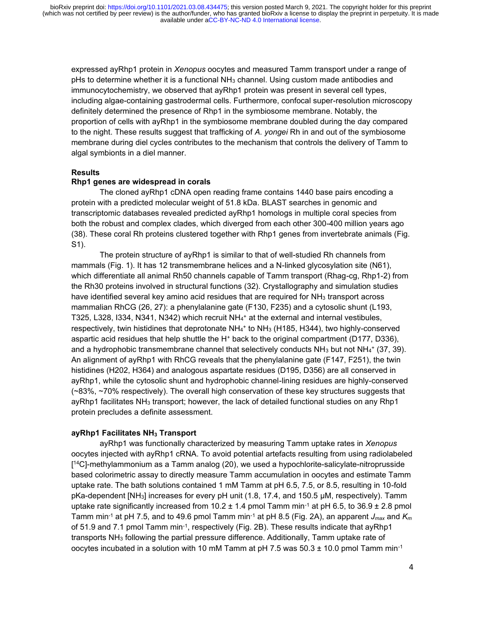expressed ayRhp1 protein in *Xenopus* oocytes and measured Tamm transport under a range of pHs to determine whether it is a functional NH<sup>3</sup> channel. Using custom made antibodies and immunocytochemistry, we observed that ayRhp1 protein was present in several cell types, including algae-containing gastrodermal cells. Furthermore, confocal super-resolution microscopy definitely determined the presence of Rhp1 in the symbiosome membrane. Notably, the proportion of cells with ayRhp1 in the symbiosome membrane doubled during the day compared to the night. These results suggest that trafficking of *A. yongei* Rh in and out of the symbiosome membrane during diel cycles contributes to the mechanism that controls the delivery of Tamm to algal symbionts in a diel manner.

## **Results**

## **Rhp1 genes are widespread in corals**

The cloned ayRhp1 cDNA open reading frame contains 1440 base pairs encoding a protein with a predicted molecular weight of 51.8 kDa. BLAST searches in genomic and transcriptomic databases revealed predicted ayRhp1 homologs in multiple coral species from both the robust and complex clades, which diverged from each other 300-400 million years ago (38). These coral Rh proteins clustered together with Rhp1 genes from invertebrate animals (Fig. S1).

The protein structure of ayRhp1 is similar to that of well-studied Rh channels from mammals (Fig. 1). It has 12 transmembrane helices and a N-linked glycosylation site (N61), which differentiate all animal Rh50 channels capable of Tamm transport (Rhag-cg, Rhp1-2) from the Rh30 proteins involved in structural functions (32). Crystallography and simulation studies have identified several key amino acid residues that are required for  $NH<sub>3</sub>$  transport across mammalian RhCG (26, 27): a phenylalanine gate (F130, F235) and a cytosolic shunt (L193, T325, L328, I334, N341, N342) which recruit NH<sup>4</sup> <sup>+</sup> at the external and internal vestibules, respectively, twin histidines that deprotonate NH<sub>4</sub>+ to NH<sub>3</sub> (H185, H344), two highly-conserved aspartic acid residues that help shuttle the H<sup>+</sup> back to the original compartment (D177, D336), and a hydrophobic transmembrane channel that selectively conducts  $NH<sub>3</sub>$  but not  $NH<sub>4</sub>$  (37, 39). An alignment of ayRhp1 with RhCG reveals that the phenylalanine gate (F147, F251), the twin histidines (H202, H364) and analogous aspartate residues (D195, D356) are all conserved in ayRhp1, while the cytosolic shunt and hydrophobic channel-lining residues are highly-conserved (~83%, ~70% respectively). The overall high conservation of these key structures suggests that ayRhp1 facilitates NH<sub>3</sub> transport; however, the lack of detailed functional studies on any Rhp1 protein precludes a definite assessment.

## **ayRhp1 Facilitates NH<sup>3</sup> Transport**

ayRhp1 was functionally characterized by measuring Tamm uptake rates in *Xenopus* oocytes injected with ayRhp1 cRNA. To avoid potential artefacts resulting from using radiolabeled [ <sup>14</sup>C]-methylammonium as a Tamm analog (20), we used a hypochlorite-salicylate-nitroprusside based colorimetric assay to directly measure Tamm accumulation in oocytes and estimate Tamm uptake rate. The bath solutions contained 1 mM Tamm at pH 6.5, 7.5, or 8.5, resulting in 10-fold pKa-dependent [NH3] increases for every pH unit (1.8, 17.4, and 150.5 μM, respectively). Tamm uptake rate significantly increased from  $10.2 \pm 1.4$  pmol Tamm min<sup>-1</sup> at pH 6.5, to  $36.9 \pm 2.8$  pmol Tamm min<sup>-1</sup> at pH 7.5, and to 49.6 pmol Tamm min<sup>-1</sup> at pH 8.5 (Fig. 2A), an apparent  $J_{max}$  and  $K_m$ of 51.9 and 7.1 pmol Tamm min<sup>-1</sup>, respectively (Fig. 2B). These results indicate that ayRhp1 transports  $NH<sub>3</sub>$  following the partial pressure difference. Additionally, Tamm uptake rate of oocytes incubated in a solution with 10 mM Tamm at pH 7.5 was  $50.3 \pm 10.0$  pmol Tamm min<sup>-1</sup>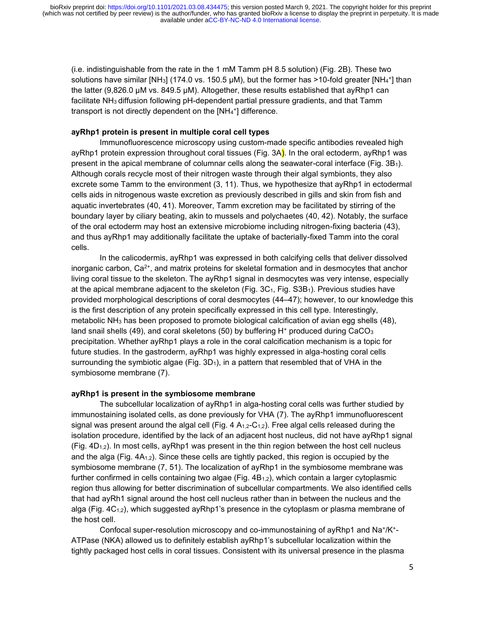(i.e. indistinguishable from the rate in the 1 mM Tamm pH 8.5 solution) (Fig. 2B). These two solutions have similar [NH<sub>3</sub>] (174.0 vs. 150.5 µM), but the former has >10-fold greater [NH<sub>4</sub>+] than the latter (9,826.0 μM vs. 849.5 μM). Altogether, these results established that ayRhp1 can facilitate NH<sub>3</sub> diffusion following pH-dependent partial pressure gradients, and that Tamm transport is not directly dependent on the [NH<sub>4</sub>+] difference.

### **ayRhp1 protein is present in multiple coral cell types**

Immunofluorescence microscopy using custom-made specific antibodies revealed high ayRhp1 protein expression throughout coral tissues (Fig. 3A). In the oral ectoderm, ayRhp1 was present in the apical membrane of columnar cells along the seawater-coral interface (Fig. 3B1). Although corals recycle most of their nitrogen waste through their algal symbionts, they also excrete some Tamm to the environment (3, 11). Thus, we hypothesize that ayRhp1 in ectodermal cells aids in nitrogenous waste excretion as previously described in gills and skin from fish and aquatic invertebrates (40, 41). Moreover, Tamm excretion may be facilitated by stirring of the boundary layer by ciliary beating, akin to mussels and polychaetes (40, 42). Notably, the surface of the oral ectoderm may host an extensive microbiome including nitrogen-fixing bacteria (43), and thus ayRhp1 may additionally facilitate the uptake of bacterially-fixed Tamm into the coral cells.

In the calicodermis, ayRhp1 was expressed in both calcifying cells that deliver dissolved inorganic carbon, Ca2+, and matrix proteins for skeletal formation and in desmocytes that anchor living coral tissue to the skeleton. The ayRhp1 signal in desmocytes was very intense, especially at the apical membrane adjacent to the skeleton (Fig.  $3C<sub>1</sub>$ , Fig. S3B<sub>1</sub>). Previous studies have provided morphological descriptions of coral desmocytes (44–47); however, to our knowledge this is the first description of any protein specifically expressed in this cell type. Interestingly, metabolic NH<sup>3</sup> has been proposed to promote biological calcification of avian egg shells (48), land snail shells (49), and coral skeletons (50) by buffering H<sup>+</sup> produced during CaCO<sub>3</sub> precipitation. Whether ayRhp1 plays a role in the coral calcification mechanism is a topic for future studies. In the gastroderm, ayRhp1 was highly expressed in alga-hosting coral cells surrounding the symbiotic algae (Fig.  $3D_1$ ), in a pattern that resembled that of VHA in the symbiosome membrane (7).

#### **ayRhp1 is present in the symbiosome membrane**

The subcellular localization of ayRhp1 in alga-hosting coral cells was further studied by immunostaining isolated cells, as done previously for VHA (7). The ayRhp1 immunofluorescent signal was present around the algal cell (Fig.  $4 \text{ A}_{1,2}$ -C<sub>1,2</sub>). Free algal cells released during the isolation procedure, identified by the lack of an adjacent host nucleus, did not have ayRhp1 signal  $(Fiq. 4D<sub>1,2</sub>)$ . In most cells, ayRhp1 was present in the thin region between the host cell nucleus and the alga (Fig.  $4A_{1,2}$ ). Since these cells are tightly packed, this region is occupied by the symbiosome membrane (7, 51). The localization of ayRhp1 in the symbiosome membrane was further confirmed in cells containing two algae (Fig.  $4B<sub>1,2</sub>$ ), which contain a larger cytoplasmic region thus allowing for better discrimination of subcellular compartments. We also identified cells that had ayRh1 signal around the host cell nucleus rather than in between the nucleus and the alga (Fig. 4C<sub>1,2</sub>), which suggested ayRhp1's presence in the cytoplasm or plasma membrane of the host cell.

Confocal super-resolution microscopy and co-immunostaining of ayRhp1 and Na+/K+-ATPase (NKA) allowed us to definitely establish ayRhp1's subcellular localization within the tightly packaged host cells in coral tissues. Consistent with its universal presence in the plasma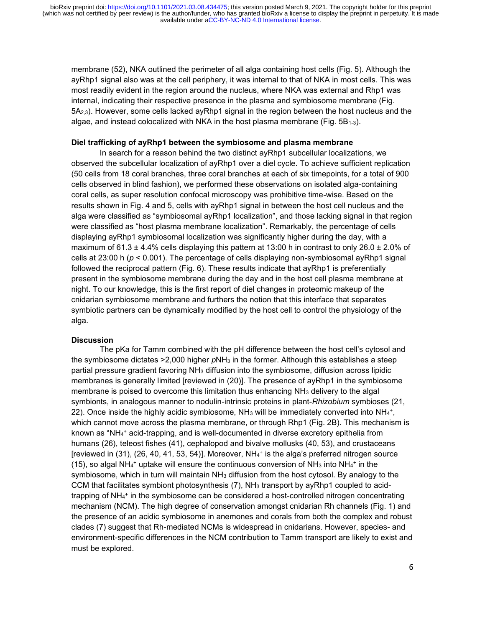membrane (52), NKA outlined the perimeter of all alga containing host cells (Fig. 5). Although the ayRhp1 signal also was at the cell periphery, it was internal to that of NKA in most cells. This was most readily evident in the region around the nucleus, where NKA was external and Rhp1 was internal, indicating their respective presence in the plasma and symbiosome membrane (Fig. 5A2,3). However, some cells lacked ayRhp1 signal in the region between the host nucleus and the algae, and instead colocalized with NKA in the host plasma membrane (Fig.  $5B_{1-3}$ ).

#### **Diel trafficking of ayRhp1 between the symbiosome and plasma membrane**

In search for a reason behind the two distinct ayRhp1 subcellular localizations, we observed the subcellular localization of ayRhp1 over a diel cycle. To achieve sufficient replication (50 cells from 18 coral branches, three coral branches at each of six timepoints, for a total of 900 cells observed in blind fashion), we performed these observations on isolated alga-containing coral cells, as super resolution confocal microscopy was prohibitive time-wise. Based on the results shown in Fig. 4 and 5, cells with ayRhp1 signal in between the host cell nucleus and the alga were classified as "symbiosomal ayRhp1 localization", and those lacking signal in that region were classified as "host plasma membrane localization". Remarkably, the percentage of cells displaying ayRhp1 symbiosomal localization was significantly higher during the day, with a maximum of 61.3  $\pm$  4.4% cells displaying this pattern at 13:00 h in contrast to only 26.0  $\pm$  2.0% of cells at 23:00 h (*p* < 0.001). The percentage of cells displaying non-symbiosomal ayRhp1 signal followed the reciprocal pattern (Fig. 6). These results indicate that ayRhp1 is preferentially present in the symbiosome membrane during the day and in the host cell plasma membrane at night. To our knowledge, this is the first report of diel changes in proteomic makeup of the cnidarian symbiosome membrane and furthers the notion that this interface that separates symbiotic partners can be dynamically modified by the host cell to control the physiology of the alga.

#### **Discussion**

The pKa for Tamm combined with the pH difference between the host cell's cytosol and the symbiosome dictates >2,000 higher *p*NH<sup>3</sup> in the former. Although this establishes a steep partial pressure gradient favoring NH<sup>3</sup> diffusion into the symbiosome, diffusion across lipidic membranes is generally limited [reviewed in (20)]. The presence of ayRhp1 in the symbiosome membrane is poised to overcome this limitation thus enhancing  $NH<sub>3</sub>$  delivery to the algal symbionts, in analogous manner to nodulin-intrinsic proteins in plant-*Rhizobium* symbioses (21, 22). Once inside the highly acidic symbiosome, NH $_3$  will be immediately converted into NH $_4^*$ , which cannot move across the plasma membrane, or through Rhp1 (Fig. 2B). This mechanism is known as "NH<sup>4</sup> <sup>+</sup> acid-trapping, and is well-documented in diverse excretory epithelia from humans (26), teleost fishes (41), cephalopod and bivalve mollusks (40, 53), and crustaceans [reviewed in (31), (26, 40, 41, 53, 54)]. Moreover, NH $_4$ <sup>+</sup> is the alga's preferred nitrogen source (15), so algal NH<sub>4</sub>+ uptake will ensure the continuous conversion of NH<sub>3</sub> into NH<sub>4</sub>+ in the symbiosome, which in turn will maintain  $NH<sub>3</sub>$  diffusion from the host cytosol. By analogy to the CCM that facilitates symbiont photosynthesis  $(7)$ , NH<sub>3</sub> transport by ayRhp1 coupled to acidtrapping of NH<sub>4</sub><sup>+</sup> in the symbiosome can be considered a host-controlled nitrogen concentrating mechanism (NCM). The high degree of conservation amongst cnidarian Rh channels (Fig. 1) and the presence of an acidic symbiosome in anemones and corals from both the complex and robust clades (7) suggest that Rh-mediated NCMs is widespread in cnidarians. However, species- and environment-specific differences in the NCM contribution to Tamm transport are likely to exist and must be explored.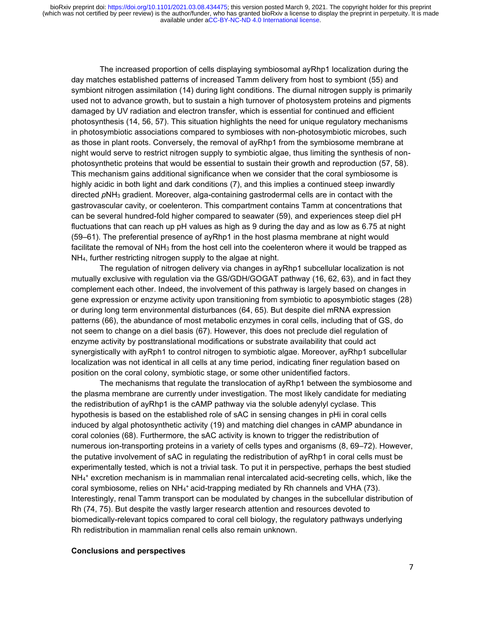The increased proportion of cells displaying symbiosomal ayRhp1 localization during the day matches established patterns of increased Tamm delivery from host to symbiont (55) and symbiont nitrogen assimilation (14) during light conditions. The diurnal nitrogen supply is primarily used not to advance growth, but to sustain a high turnover of photosystem proteins and pigments damaged by UV radiation and electron transfer, which is essential for continued and efficient photosynthesis (14, 56, 57). This situation highlights the need for unique regulatory mechanisms in photosymbiotic associations compared to symbioses with non-photosymbiotic microbes, such as those in plant roots. Conversely, the removal of ayRhp1 from the symbiosome membrane at night would serve to restrict nitrogen supply to symbiotic algae, thus limiting the synthesis of nonphotosynthetic proteins that would be essential to sustain their growth and reproduction (57, 58). This mechanism gains additional significance when we consider that the coral symbiosome is highly acidic in both light and dark conditions (7), and this implies a continued steep inwardly directed *p*NH<sup>3</sup> gradient. Moreover, alga-containing gastrodermal cells are in contact with the gastrovascular cavity, or coelenteron. This compartment contains Tamm at concentrations that can be several hundred-fold higher compared to seawater (59), and experiences steep diel pH fluctuations that can reach up pH values as high as 9 during the day and as low as 6.75 at night (59–61). The preferential presence of ayRhp1 in the host plasma membrane at night would facilitate the removal of  $NH<sub>3</sub>$  from the host cell into the coelenteron where it would be trapped as NH4, further restricting nitrogen supply to the algae at night.

The regulation of nitrogen delivery via changes in ayRhp1 subcellular localization is not mutually exclusive with regulation via the GS/GDH/GOGAT pathway (16, 62, 63), and in fact they complement each other. Indeed, the involvement of this pathway is largely based on changes in gene expression or enzyme activity upon transitioning from symbiotic to aposymbiotic stages (28) or during long term environmental disturbances (64, 65). But despite diel mRNA expression patterns (66), the abundance of most metabolic enzymes in coral cells, including that of GS, do not seem to change on a diel basis (67). However, this does not preclude diel regulation of enzyme activity by posttranslational modifications or substrate availability that could act synergistically with ayRph1 to control nitrogen to symbiotic algae. Moreover, ayRhp1 subcellular localization was not identical in all cells at any time period, indicating finer regulation based on position on the coral colony, symbiotic stage, or some other unidentified factors.

The mechanisms that regulate the translocation of ayRhp1 between the symbiosome and the plasma membrane are currently under investigation. The most likely candidate for mediating the redistribution of ayRhp1 is the cAMP pathway via the soluble adenylyl cyclase. This hypothesis is based on the established role of sAC in sensing changes in pHi in coral cells induced by algal photosynthetic activity (19) and matching diel changes in cAMP abundance in coral colonies (68). Furthermore, the sAC activity is known to trigger the redistribution of numerous ion-transporting proteins in a variety of cells types and organisms (8, 69–72). However, the putative involvement of sAC in regulating the redistribution of ayRhp1 in coral cells must be experimentally tested, which is not a trivial task. To put it in perspective, perhaps the best studied NH<sup>4</sup> <sup>+</sup> excretion mechanism is in mammalian renal intercalated acid-secreting cells, which, like the coral symbiosome, relies on  $NH<sub>4</sub><sup>+</sup>$  acid-trapping mediated by Rh channels and VHA (73). Interestingly, renal Tamm transport can be modulated by changes in the subcellular distribution of Rh (74, 75). But despite the vastly larger research attention and resources devoted to biomedically-relevant topics compared to coral cell biology, the regulatory pathways underlying Rh redistribution in mammalian renal cells also remain unknown.

#### **Conclusions and perspectives**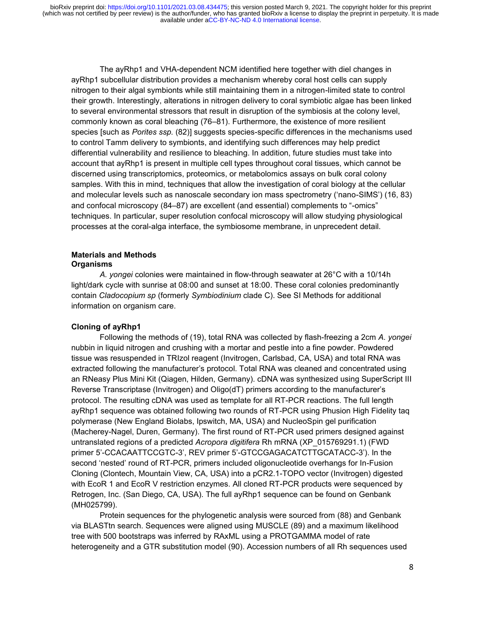The ayRhp1 and VHA-dependent NCM identified here together with diel changes in ayRhp1 subcellular distribution provides a mechanism whereby coral host cells can supply nitrogen to their algal symbionts while still maintaining them in a nitrogen-limited state to control their growth. Interestingly, alterations in nitrogen delivery to coral symbiotic algae has been linked to several environmental stressors that result in disruption of the symbiosis at the colony level, commonly known as coral bleaching (76–81). Furthermore, the existence of more resilient species [such as *Porites ssp.* (82)] suggests species-specific differences in the mechanisms used to control Tamm delivery to symbionts, and identifying such differences may help predict differential vulnerability and resilience to bleaching. In addition, future studies must take into account that ayRhp1 is present in multiple cell types throughout coral tissues, which cannot be discerned using transcriptomics, proteomics, or metabolomics assays on bulk coral colony samples. With this in mind, techniques that allow the investigation of coral biology at the cellular and molecular levels such as nanoscale secondary ion mass spectrometry ('nano-SIMS') (16, 83) and confocal microscopy (84–87) are excellent (and essential) complements to "-omics" techniques. In particular, super resolution confocal microscopy will allow studying physiological processes at the coral-alga interface, the symbiosome membrane, in unprecedent detail.

## **Materials and Methods Organisms**

*A. yongei* colonies were maintained in flow-through seawater at 26°C with a 10/14h light/dark cycle with sunrise at 08:00 and sunset at 18:00. These coral colonies predominantly contain *Cladocopium sp* (formerly *Symbiodinium* clade C). See SI Methods for additional information on organism care.

## **Cloning of ayRhp1**

Following the methods of (19), total RNA was collected by flash-freezing a 2cm *A. yongei*  nubbin in liquid nitrogen and crushing with a mortar and pestle into a fine powder. Powdered tissue was resuspended in TRIzol reagent (Invitrogen, Carlsbad, CA, USA) and total RNA was extracted following the manufacturer's protocol. Total RNA was cleaned and concentrated using an RNeasy Plus Mini Kit (Qiagen, Hilden, Germany). cDNA was synthesized using SuperScript III Reverse Transcriptase (Invitrogen) and Oligo(dT) primers according to the manufacturer's protocol. The resulting cDNA was used as template for all RT-PCR reactions. The full length ayRhp1 sequence was obtained following two rounds of RT-PCR using Phusion High Fidelity taq polymerase (New England Biolabs, Ipswitch, MA, USA) and NucleoSpin gel purification (Macherey-Nagel, Duren, Germany). The first round of RT-PCR used primers designed against untranslated regions of a predicted *Acropora digitifera* Rh mRNA (XP\_015769291.1) (FWD primer 5'-CCACAATTCCGTC-3', REV primer 5'-GTCCGAGACATCTTGCATACC-3'). In the second 'nested' round of RT-PCR, primers included oligonucleotide overhangs for In-Fusion Cloning (Clontech, Mountain View, CA, USA) into a pCR2.1-TOPO vector (Invitrogen) digested with EcoR 1 and EcoR V restriction enzymes. All cloned RT-PCR products were sequenced by Retrogen, Inc. (San Diego, CA, USA). The full ayRhp1 sequence can be found on Genbank (MH025799).

Protein sequences for the phylogenetic analysis were sourced from (88) and Genbank via BLASTtn search. Sequences were aligned using MUSCLE (89) and a maximum likelihood tree with 500 bootstraps was inferred by RAxML using a PROTGAMMA model of rate heterogeneity and a GTR substitution model (90). Accession numbers of all Rh sequences used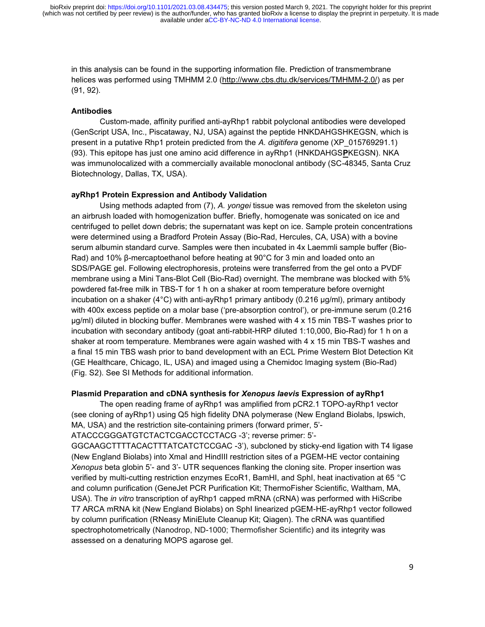in this analysis can be found in the supporting information file. Prediction of transmembrane helices was performed using TMHMM 2.0 [\(http://www.cbs.dtu.dk/services/TMHMM-2.0/\)](http://www.cbs.dtu.dk/services/TMHMM-2.0/) as per (91, 92).

## **Antibodies**

Custom-made, affinity purified anti-ayRhp1 rabbit polyclonal antibodies were developed (GenScript USA, Inc., Piscataway, NJ, USA) against the peptide HNKDAHGSHKEGSN, which is present in a putative Rhp1 protein predicted from the *A. digitifera* genome (XP\_015769291.1) (93). This epitope has just one amino acid difference in ayRhp1 (HNKDAHGS**P**KEGSN). NKA was immunolocalized with a commercially available monoclonal antibody (SC-48345, Santa Cruz Biotechnology, Dallas, TX, USA).

### **ayRhp1 Protein Expression and Antibody Validation**

Using methods adapted from (7), *A. yongei* tissue was removed from the skeleton using an airbrush loaded with homogenization buffer. Briefly, homogenate was sonicated on ice and centrifuged to pellet down debris; the supernatant was kept on ice. Sample protein concentrations were determined using a Bradford Protein Assay (Bio-Rad, Hercules, CA, USA) with a bovine serum albumin standard curve. Samples were then incubated in 4x Laemmli sample buffer (Bio-Rad) and 10% β-mercaptoethanol before heating at 90°C for 3 min and loaded onto an SDS/PAGE gel. Following electrophoresis, proteins were transferred from the gel onto a PVDF membrane using a Mini Tans-Blot Cell (Bio-Rad) overnight. The membrane was blocked with 5% powdered fat-free milk in TBS-T for 1 h on a shaker at room temperature before overnight incubation on a shaker (4°C) with anti-ayRhp1 primary antibody (0.216 μg/ml), primary antibody with 400x excess peptide on a molar base ('pre-absorption control'), or pre-immune serum (0.216 μg/ml) diluted in blocking buffer. Membranes were washed with 4 x 15 min TBS-T washes prior to incubation with secondary antibody (goat anti-rabbit-HRP diluted 1:10,000, Bio-Rad) for 1 h on a shaker at room temperature. Membranes were again washed with 4 x 15 min TBS-T washes and a final 15 min TBS wash prior to band development with an ECL Prime Western Blot Detection Kit (GE Healthcare, Chicago, IL, USA) and imaged using a Chemidoc Imaging system (Bio-Rad) (Fig. S2). See SI Methods for additional information.

## **Plasmid Preparation and cDNA synthesis for** *Xenopus laevis* **Expression of ayRhp1**

The open reading frame of ayRhp1 was amplified from pCR2.1 TOPO-ayRhp1 vector (see cloning of ayRhp1) using Q5 high fidelity DNA polymerase (New England Biolabs, Ipswich, MA, USA) and the restriction site-containing primers (forward primer, 5'-

ATACCCGGGATGTCTACTCGACCTCCTACG -3'; reverse primer: 5'-

GGCAAGCTTTTACACTTTATCATCTCCGAC -3'), subcloned by sticky-end ligation with T4 ligase (New England Biolabs) into XmaI and HindIII restriction sites of a PGEM-HE vector containing *Xenopus* beta globin 5'- and 3'- UTR sequences flanking the cloning site. Proper insertion was verified by multi-cutting restriction enzymes EcoR1, BamHI, and SphI, heat inactivation at 65 °C and column purification (GeneJet PCR Purification Kit; ThermoFisher Scientific, Waltham, MA, USA). The *in vitro* transcription of ayRhp1 capped mRNA (cRNA) was performed with HiScribe T7 ARCA mRNA kit (New England Biolabs) on SphI linearized pGEM-HE-ayRhp1 vector followed by column purification (RNeasy MiniElute Cleanup Kit; Qiagen). The cRNA was quantified spectrophotometrically (Nanodrop, ND-1000; Thermofisher Scientific) and its integrity was assessed on a denaturing MOPS agarose gel.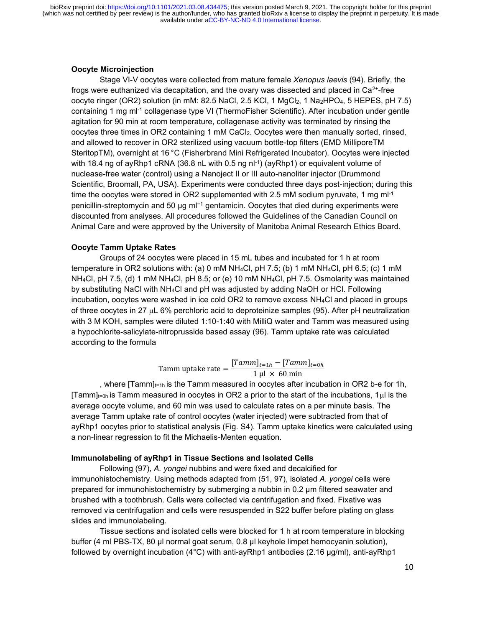## **Oocyte Microinjection**

Stage VI-V oocytes were collected from mature female *Xenopus laevis* (94). Briefly, the frogs were euthanized via decapitation, and the ovary was dissected and placed in  $Ca<sup>2+</sup>$ -free oocyte ringer (OR2) solution (in mM: 82.5 NaCl, 2.5 KCl, 1 MgCl<sub>2</sub>, 1 Na<sub>2</sub>HPO<sub>4</sub>, 5 HEPES, pH 7.5) containing 1 mg ml-1 collagenase type VI (ThermoFisher Scientific). After incubation under gentle agitation for 90 min at room temperature, collagenase activity was terminated by rinsing the oocytes three times in OR2 containing 1 mM CaCl2. Oocytes were then manually sorted, rinsed, and allowed to recover in OR2 sterilized using vacuum bottle-top filters (EMD MilliporeTM SteritopTM), overnight at 16 °C (Fisherbrand Mini Refrigerated Incubator). Oocytes were injected with 18.4 ng of ayRhp1 cRNA (36.8 nL with 0.5 ng nl-1 ) (ayRhp1) or equivalent volume of nuclease-free water (control) using a Nanoject II or III auto-nanoliter injector (Drummond Scientific, Broomall, PA, USA). Experiments were conducted three days post-injection; during this time the oocytes were stored in OR2 supplemented with 2.5 mM sodium pyruvate, 1 mg m $l^{-1}$ penicillin-streptomycin and 50 μg ml<sup>−</sup><sup>1</sup> gentamicin. Oocytes that died during experiments were discounted from analyses. All procedures followed the Guidelines of the Canadian Council on Animal Care and were approved by the University of Manitoba Animal Research Ethics Board.

## **Oocyte Tamm Uptake Rates**

Groups of 24 oocytes were placed in 15 mL tubes and incubated for 1 h at room temperature in OR2 solutions with: (a) 0 mM NH4Cl, pH 7.5; (b) 1 mM NH4Cl, pH 6.5; (c) 1 mM NH4Cl, pH 7.5, (d) 1 mM NH4Cl, pH 8.5; or (e) 10 mM NH4Cl, pH 7.5. Osmolarity was maintained by substituting NaCl with NH4Cl and pH was adjusted by adding NaOH or HCl. Following incubation, oocytes were washed in ice cold OR2 to remove excess NH4Cl and placed in groups of three oocytes in 27  $\mu$ L 6% perchloric acid to deproteinize samples (95). After pH neutralization with 3 M KOH, samples were diluted 1:10-1:40 with MilliQ water and Tamm was measured using a hypochlorite-salicylate-nitroprusside based assay (96). Tamm uptake rate was calculated according to the formula

> Tamm uptake rate  $= \frac{[Tamm]_{t=1h} - [Tamm]_{t=0h} }{1 + 1 + 1 + 1 + 1}$  $1 \mu$  × 60 min

, where  $\text{Tamm}_{t=1h}$  is the Tamm measured in oocytes after incubation in OR2 b-e for 1h,  $\text{Tramm}_{\text{t}=0h}$  is Tamm measured in oocytes in OR2 a prior to the start of the incubations, 1 $\mu$  is the average oocyte volume, and 60 min was used to calculate rates on a per minute basis. The average Tamm uptake rate of control oocytes (water injected) were subtracted from that of ayRhp1 oocytes prior to statistical analysis (Fig. S4). Tamm uptake kinetics were calculated using a non-linear regression to fit the Michaelis-Menten equation.

## **Immunolabeling of ayRhp1 in Tissue Sections and Isolated Cells**

Following (97), *A. yongei* nubbins and were fixed and decalcified for immunohistochemistry. Using methods adapted from (51, 97), isolated *A. yongei* cells were prepared for immunohistochemistry by submerging a nubbin in 0.2 μm filtered seawater and brushed with a toothbrush. Cells were collected via centrifugation and fixed. Fixative was removed via centrifugation and cells were resuspended in S22 buffer before plating on glass slides and immunolabeling.

Tissue sections and isolated cells were blocked for 1 h at room temperature in blocking buffer (4 ml PBS-TX, 80 µl normal goat serum, 0.8 µl keyhole limpet hemocyanin solution), followed by overnight incubation (4°C) with anti-ayRhp1 antibodies (2.16 μg/ml), anti-ayRhp1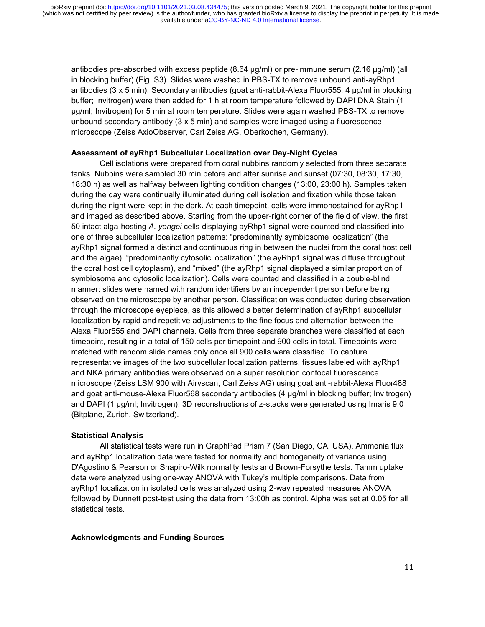antibodies pre-absorbed with excess peptide (8.64 μg/ml) or pre-immune serum (2.16 μg/ml) (all in blocking buffer) (Fig. S3). Slides were washed in PBS-TX to remove unbound anti-ayRhp1 antibodies (3 x 5 min). Secondary antibodies (goat anti-rabbit-Alexa Fluor555, 4 μg/ml in blocking buffer; Invitrogen) were then added for 1 h at room temperature followed by DAPI DNA Stain (1 μg/ml; Invitrogen) for 5 min at room temperature. Slides were again washed PBS-TX to remove unbound secondary antibody  $(3 \times 5 \text{ min})$  and samples were imaged using a fluorescence microscope (Zeiss AxioObserver, Carl Zeiss AG, Oberkochen, Germany).

## **Assessment of ayRhp1 Subcellular Localization over Day-Night Cycles**

Cell isolations were prepared from coral nubbins randomly selected from three separate tanks. Nubbins were sampled 30 min before and after sunrise and sunset (07:30, 08:30, 17:30, 18:30 h) as well as halfway between lighting condition changes (13:00, 23:00 h). Samples taken during the day were continually illuminated during cell isolation and fixation while those taken during the night were kept in the dark. At each timepoint, cells were immonostained for ayRhp1 and imaged as described above. Starting from the upper-right corner of the field of view, the first 50 intact alga-hosting *A. yongei* cells displaying ayRhp1 signal were counted and classified into one of three subcellular localization patterns: "predominantly symbiosome localization" (the ayRhp1 signal formed a distinct and continuous ring in between the nuclei from the coral host cell and the algae), "predominantly cytosolic localization" (the ayRhp1 signal was diffuse throughout the coral host cell cytoplasm), and "mixed" (the ayRhp1 signal displayed a similar proportion of symbiosome and cytosolic localization). Cells were counted and classified in a double-blind manner: slides were named with random identifiers by an independent person before being observed on the microscope by another person. Classification was conducted during observation through the microscope eyepiece, as this allowed a better determination of ayRhp1 subcellular localization by rapid and repetitive adjustments to the fine focus and alternation between the Alexa Fluor555 and DAPI channels. Cells from three separate branches were classified at each timepoint, resulting in a total of 150 cells per timepoint and 900 cells in total. Timepoints were matched with random slide names only once all 900 cells were classified. To capture representative images of the two subcellular localization patterns, tissues labeled with ayRhp1 and NKA primary antibodies were observed on a super resolution confocal fluorescence microscope (Zeiss LSM 900 with Airyscan, Carl Zeiss AG) using goat anti-rabbit-Alexa Fluor488 and goat anti-mouse-Alexa Fluor568 secondary antibodies (4 μg/ml in blocking buffer; Invitrogen) and DAPI (1 μg/ml; Invitrogen). 3D reconstructions of z-stacks were generated using Imaris 9.0 (Bitplane, Zurich, Switzerland).

## **Statistical Analysis**

All statistical tests were run in GraphPad Prism 7 (San Diego, CA, USA). Ammonia flux and ayRhp1 localization data were tested for normality and homogeneity of variance using D'Agostino & Pearson or Shapiro-Wilk normality tests and Brown-Forsythe tests. Tamm uptake data were analyzed using one-way ANOVA with Tukey's multiple comparisons. Data from ayRhp1 localization in isolated cells was analyzed using 2-way repeated measures ANOVA followed by Dunnett post-test using the data from 13:00h as control. Alpha was set at 0.05 for all statistical tests.

## **Acknowledgments and Funding Sources**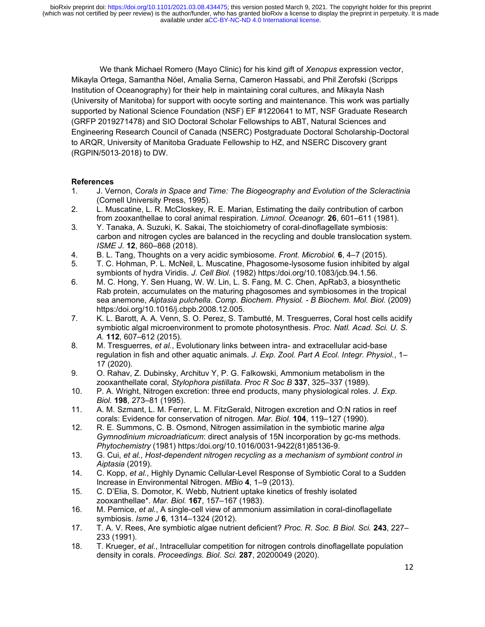We thank Michael Romero (Mayo Clinic) for his kind gift of *Xenopus* expression vector, Mikayla Ortega, Samantha Nöel, Amalia Serna, Cameron Hassabi, and Phil Zerofski (Scripps Institution of Oceanography) for their help in maintaining coral cultures, and Mikayla Nash (University of Manitoba) for support with oocyte sorting and maintenance. This work was partially supported by National Science Foundation (NSF) EF #1220641 to MT, NSF Graduate Research (GRFP 2019271478) and SIO Doctoral Scholar Fellowships to ABT, Natural Sciences and Engineering Research Council of Canada (NSERC) Postgraduate Doctoral Scholarship-Doctoral to ARQR, University of Manitoba Graduate Fellowship to HZ, and NSERC Discovery grant (RGPIN/5013‐2018) to DW.

## **References**

- 1. J. Vernon, *Corals in Space and Time: The Biogeography and Evolution of the Scleractinia* (Cornell University Press, 1995).
- 2. L. Muscatine, L. R. McCloskey, R. E. Marian, Estimating the daily contribution of carbon from zooxanthellae to coral animal respiration. *Limnol. Oceanogr.* **26**, 601–611 (1981).
- 3. Y. Tanaka, A. Suzuki, K. Sakai, The stoichiometry of coral-dinoflagellate symbiosis: carbon and nitrogen cycles are balanced in the recycling and double translocation system. *ISME J.* **12**, 860–868 (2018).
- 4. B. L. Tang, Thoughts on a very acidic symbiosome. *Front. Microbiol.* **6**, 4–7 (2015).
- 5. T. C. Hohman, P. L. McNeil, L. Muscatine, Phagosome-lysosome fusion inhibited by algal symbionts of hydra Viridis. *J. Cell Biol.* (1982) https:/doi.org/10.1083/jcb.94.1.56.
- 6. M. C. Hong, Y. Sen Huang, W. W. Lin, L. S. Fang, M. C. Chen, ApRab3, a biosynthetic Rab protein, accumulates on the maturing phagosomes and symbiosomes in the tropical sea anemone, *Aiptasia pulchella*. *Comp. Biochem. Physiol. - B Biochem. Mol. Biol.* (2009) https:/doi.org/10.1016/j.cbpb.2008.12.005.
- 7. K. L. Barott, A. A. Venn, S. O. Perez, S. Tambutté, M. Tresguerres, Coral host cells acidify symbiotic algal microenvironment to promote photosynthesis. *Proc. Natl. Acad. Sci. U. S. A.* **112**, 607–612 (2015).
- 8. M. Tresguerres, *et al.*, Evolutionary links between intra- and extracellular acid-base regulation in fish and other aquatic animals. *J. Exp. Zool. Part A Ecol. Integr. Physiol.*, 1– 17 (2020).
- 9. O. Rahav, Z. Dubinsky, Archituv Y, P. G. Falkowski, Ammonium metabolism in the zooxanthellate coral, *Stylophora pistillata*. *Proc R Soc B* **337**, 325–337 (1989).
- 10. P. A. Wright, Nitrogen excretion: three end products, many physiological roles. *J. Exp. Biol.* **198**, 273–81 (1995).
- 11. A. M. Szmant, L. M. Ferrer, L. M. FitzGerald, Nitrogen excretion and O:N ratios in reef corals: Evidence for conservation of nitrogen. *Mar. Biol.* **104**, 119–127 (1990).
- 12. R. E. Summons, C. B. Osmond, Nitrogen assimilation in the symbiotic marine *alga Gymnodinium microadriaticum*: direct analysis of 15N incorporation by gc-ms methods. *Phytochemistry* (1981) https:/doi.org/10.1016/0031-9422(81)85136-9.
- 13. G. Cui, *et al.*, *Host-dependent nitrogen recycling as a mechanism of symbiont control in Aiptasia* (2019).
- 14. C. Kopp, *et al.*, Highly Dynamic Cellular-Level Response of Symbiotic Coral to a Sudden Increase in Environmental Nitrogen. *MBio* **4**, 1–9 (2013).
- 15. C. D'Elia, S. Domotor, K. Webb, Nutrient uptake kinetics of freshly isolated zooxanthellae\*. *Mar. Biol.* **167**, 157–167 (1983).
- 16. M. Pernice, *et al.*, A single-cell view of ammonium assimilation in coral-dinoflagellate symbiosis. *Isme J* **6**, 1314–1324 (2012).
- 17. T. A. V. Rees, Are symbiotic algae nutrient deficient? *Proc. R. Soc. B Biol. Sci.* **243**, 227– 233 (1991).
- 18. T. Krueger, *et al.*, Intracellular competition for nitrogen controls dinoflagellate population density in corals. *Proceedings. Biol. Sci.* **287**, 20200049 (2020).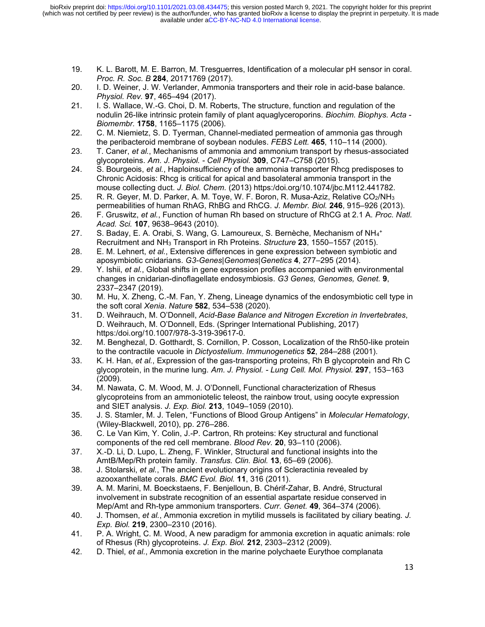- 19. K. L. Barott, M. E. Barron, M. Tresguerres, Identification of a molecular pH sensor in coral. *Proc. R. Soc. B* **284**, 20171769 (2017).
- 20. I. D. Weiner, J. W. Verlander, Ammonia transporters and their role in acid-base balance. *Physiol. Rev.* **97**, 465–494 (2017).
- 21. I. S. Wallace, W.-G. Choi, D. M. Roberts, The structure, function and regulation of the nodulin 26-like intrinsic protein family of plant aquaglyceroporins. *Biochim. Biophys. Acta - Biomembr.* **1758**, 1165–1175 (2006).
- 22. C. M. Niemietz, S. D. Tyerman, Channel-mediated permeation of ammonia gas through the peribacteroid membrane of soybean nodules. *FEBS Lett.* **465**, 110–114 (2000).
- 23. T. Caner, *et al.*, Mechanisms of ammonia and ammonium transport by rhesus-associated glycoproteins. *Am. J. Physiol. - Cell Physiol.* **309**, C747–C758 (2015).
- 24. S. Bourgeois, *et al.*, Haploinsufficiency of the ammonia transporter Rhcg predisposes to Chronic Acidosis: Rhcg is critical for apical and basolateral ammonia transport in the mouse collecting duct. *J. Biol. Chem.* (2013) https:/doi.org/10.1074/jbc.M112.441782.
- 25. R. R. Geyer, M. D. Parker, A. M. Toye, W. F. Boron, R. Musa-Aziz, Relative CO2/NH<sup>3</sup> permeabilities of human RhAG, RhBG and RhCG. *J. Membr. Biol.* **246**, 915–926 (2013).
- 26. F. Gruswitz, *et al.*, Function of human Rh based on structure of RhCG at 2.1 A. *Proc. Natl. Acad. Sci.* **107**, 9638–9643 (2010).
- 27. S. Baday, E. A. Orabi, S. Wang, G. Lamoureux, S. Bernèche, Mechanism of NH<sub>4</sub>+ Recruitment and NH<sup>3</sup> Transport in Rh Proteins. *Structure* **23**, 1550–1557 (2015).
- 28. E. M. Lehnert, *et al.*, Extensive differences in gene expression between symbiotic and aposymbiotic cnidarians. *G3-Genes|Genomes|Genetics* **4**, 277–295 (2014).
- 29. Y. Ishii, *et al.*, Global shifts in gene expression profiles accompanied with environmental changes in cnidarian-dinoflagellate endosymbiosis. *G3 Genes, Genomes, Genet.* **9**, 2337–2347 (2019).
- 30. M. Hu, X. Zheng, C.-M. Fan, Y. Zheng, Lineage dynamics of the endosymbiotic cell type in the soft coral *Xenia*. *Nature* **582**, 534–538 (2020).
- 31. D. Weihrauch, M. O'Donnell, *Acid-Base Balance and Nitrogen Excretion in Invertebrates*, D. Weihrauch, M. O'Donnell, Eds. (Springer International Publishing, 2017) https:/doi.org/10.1007/978-3-319-39617-0.
- 32. M. Benghezal, D. Gotthardt, S. Cornillon, P. Cosson, Localization of the Rh50-like protein to the contractile vacuole in *Dictyostelium*. *Immunogenetics* **52**, 284–288 (2001).
- 33. K. H. Han, *et al.*, Expression of the gas-transporting proteins, Rh B glycoprotein and Rh C glycoprotein, in the murine lung. *Am. J. Physiol. - Lung Cell. Mol. Physiol.* **297**, 153–163 (2009).
- 34. M. Nawata, C. M. Wood, M. J. O'Donnell, Functional characterization of Rhesus glycoproteins from an ammoniotelic teleost, the rainbow trout, using oocyte expression and SIET analysis. *J. Exp. Biol.* **213**, 1049–1059 (2010).
- 35. J. S. Stamler, M. J. Telen, "Functions of Blood Group Antigens" in *Molecular Hematology*, (Wiley-Blackwell, 2010), pp. 276–286.
- 36. C. Le Van Kim, Y. Colin, J.-P. Cartron, Rh proteins: Key structural and functional components of the red cell membrane. *Blood Rev.* **20**, 93–110 (2006).
- 37. X.-D. Li, D. Lupo, L. Zheng, F. Winkler, Structural and functional insights into the AmtB/Mep/Rh protein family. *Transfus. Clin. Biol.* **13**, 65–69 (2006).
- 38. J. Stolarski, *et al.*, The ancient evolutionary origins of Scleractinia revealed by azooxanthellate corals. *BMC Evol. Biol.* **11**, 316 (2011).
- 39. A. M. Marini, M. Boeckstaens, F. Benjelloun, B. Chérif-Zahar, B. André, Structural involvement in substrate recognition of an essential aspartate residue conserved in Mep/Amt and Rh-type ammonium transporters. *Curr. Genet.* **49**, 364–374 (2006).
- 40. J. Thomsen, *et al.*, Ammonia excretion in mytilid mussels is facilitated by ciliary beating. *J. Exp. Biol.* **219**, 2300–2310 (2016).
- 41. P. A. Wright, C. M. Wood, A new paradigm for ammonia excretion in aquatic animals: role of Rhesus (Rh) glycoproteins. *J. Exp. Biol.* **212**, 2303–2312 (2009).
- 42. D. Thiel, *et al.*, Ammonia excretion in the marine polychaete Eurythoe complanata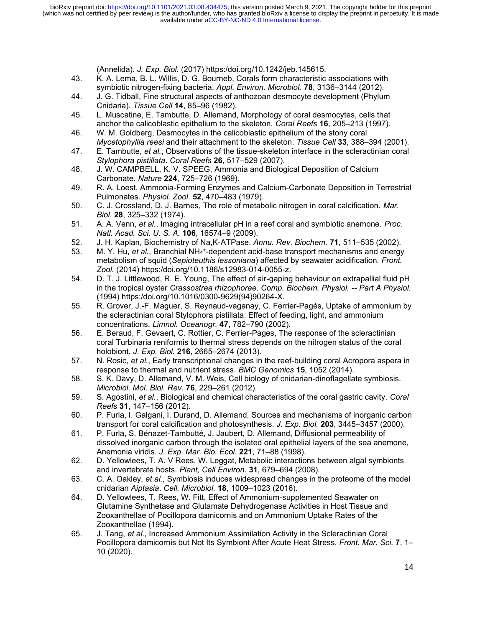(Annelida). *J. Exp. Biol.* (2017) https:/doi.org/10.1242/jeb.145615.

- 43. K. A. Lema, B. L. Willis, D. G. Bourneb, Corals form characteristic associations with symbiotic nitrogen-fixing bacteria. *Appl. Environ. Microbiol.* **78**, 3136–3144 (2012).
- 44. J. G. Tidball, Fine structural aspects of anthozoan desmocyte development (Phylum Cnidaria). *Tissue Cell* **14**, 85–96 (1982).
- 45. L. Muscatine, E. Tambutte, D. Allemand, Morphology of coral desmocytes, cells that anchor the calicoblastic epithelium to the skeleton. *Coral Reefs* **16**, 205–213 (1997).
- 46. W. M. Goldberg, Desmocytes in the calicoblastic epithelium of the stony coral *Mycetophyllia reesi* and their attachment to the skeleton. *Tissue Cell* **33**, 388–394 (2001).
- 47. E. Tambutte, *et al.*, Observations of the tissue-skeleton interface in the scleractinian coral *Stylophora pistillata*. *Coral Reefs* **26**, 517–529 (2007).
- 48. J. W. CAMPBELL, K. V. SPEEG, Ammonia and Biological Deposition of Calcium Carbonate. *Nature* **224**, 725–726 (1969).
- 49. R. A. Loest, Ammonia-Forming Enzymes and Calcium-Carbonate Deposition in Terrestrial Pulmonates. *Physiol. Zool.* **52**, 470–483 (1979).
- 50. C. J. Crossland, D. J. Barnes, The role of metabolic nitrogen in coral calcification. *Mar. Biol.* **28**, 325–332 (1974).
- 51. A. A. Venn, *et al.*, Imaging intracellular pH in a reef coral and symbiotic anemone. *Proc. Natl. Acad. Sci. U. S. A.* **106**, 16574–9 (2009).
- 52. J. H. Kaplan, Biochemistry of Na,K-ATPase. *Annu. Rev. Biochem.* **71**, 511–535 (2002).
- 53. M. Y. Hu, *et al.*, Branchial NH<sub>4</sub>+-dependent acid-base transport mechanisms and energy metabolism of squid (*Sepioteuthis lessoniana*) affected by seawater acidification. *Front. Zool.* (2014) https:/doi.org/10.1186/s12983-014-0055-z.
- 54. D. T. J. Littlewood, R. E. Young, The effect of air-gaping behaviour on extrapallial fluid pH in the tropical oyster *Crassostrea rhizophorae*. *Comp. Biochem. Physiol. -- Part A Physiol.* (1994) https:/doi.org/10.1016/0300-9629(94)90264-X.
- 55. R. Grover, J.-F. Maguer, S. Reynaud-vaganay, C. Ferrier-Pagès, Uptake of ammonium by the scleractinian coral Stylophora pistillata: Effect of feeding, light, and ammonium concentrations. *Limnol. Oceanogr.* **47**, 782–790 (2002).
- 56. E. Beraud, F. Gevaert, C. Rottier, C. Ferrier-Pages, The response of the scleractinian coral Turbinaria reniformis to thermal stress depends on the nitrogen status of the coral holobiont. *J. Exp. Biol.* **216**, 2665–2674 (2013).
- 57. N. Rosic, *et al.*, Early transcriptional changes in the reef-building coral Acropora aspera in response to thermal and nutrient stress. *BMC Genomics* **15**, 1052 (2014).
- 58. S. K. Davy, D. Allemand, V. M. Weis, Cell biology of cnidarian-dinoflagellate symbiosis. *Microbiol. Mol. Biol. Rev.* **76**, 229–261 (2012).
- 59. S. Agostini, *et al.*, Biological and chemical characteristics of the coral gastric cavity. *Coral Reefs* **31**, 147–156 (2012).
- 60. P. Furla, I. Galgani, I. Durand, D. Allemand, Sources and mechanisms of inorganic carbon transport for coral calcification and photosynthesis. *J. Exp. Biol.* **203**, 3445–3457 (2000).
- 61. P. Furla, S. Bénazet-Tambutté, J. Jaubert, D. Allemand, Diffusional permeability of dissolved inorganic carbon through the isolated oral epithelial layers of the sea anemone, Anemonia viridis. *J. Exp. Mar. Bio. Ecol.* **221**, 71–88 (1998).
- 62. D. Yellowlees, T. A. V Rees, W. Leggat, Metabolic interactions between algal symbionts and invertebrate hosts. *Plant, Cell Environ.* **31**, 679–694 (2008).
- 63. C. A. Oakley, *et al.*, Symbiosis induces widespread changes in the proteome of the model cnidarian *Aiptasia*. *Cell. Microbiol.* **18**, 1009–1023 (2016).
- 64. D. Yellowlees, T. Rees, W. Fitt, Effect of Ammonium-supplemented Seawater on Glutamine Synthetase and Glutamate Dehydrogenase Activities in Host Tissue and Zooxanthellae of Pocillopora damicornis and on Ammonium Uptake Rates of the Zooxanthellae (1994).
- 65. J. Tang, *et al.*, Increased Ammonium Assimilation Activity in the Scleractinian Coral Pocillopora damicornis but Not Its Symbiont After Acute Heat Stress. *Front. Mar. Sci.* **7**, 1– 10 (2020).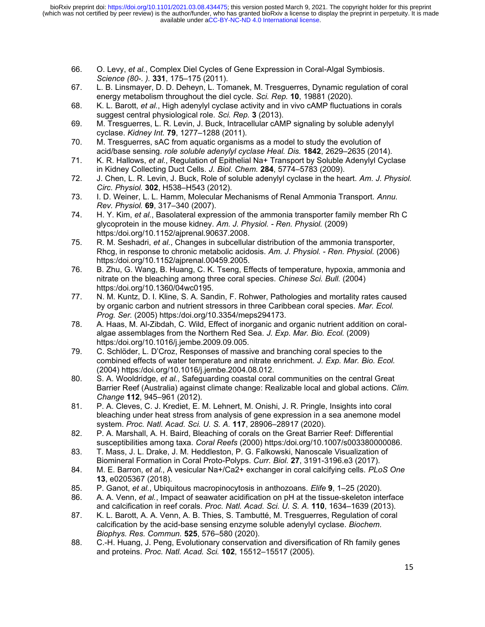- 66. O. Levy, *et al.*, Complex Diel Cycles of Gene Expression in Coral-Algal Symbiosis. *Science (80-. ).* **331**, 175–175 (2011).
- 67. L. B. Linsmayer, D. D. Deheyn, L. Tomanek, M. Tresguerres, Dynamic regulation of coral energy metabolism throughout the diel cycle. *Sci. Rep.* **10**, 19881 (2020).
- 68. K. L. Barott, *et al.*, High adenylyl cyclase activity and in vivo cAMP fluctuations in corals suggest central physiological role. *Sci. Rep.* **3** (2013).
- 69. M. Tresguerres, L. R. Levin, J. Buck, Intracellular cAMP signaling by soluble adenylyl cyclase. *Kidney Int.* **79**, 1277–1288 (2011).
- 70. M. Tresguerres, sAC from aquatic organisms as a model to study the evolution of acid/base sensing. *role soluble adenylyl cyclase Heal. Dis.* **1842**, 2629–2635 (2014).
- 71. K. R. Hallows, *et al.*, Regulation of Epithelial Na+ Transport by Soluble Adenylyl Cyclase in Kidney Collecting Duct Cells. *J. Biol. Chem.* **284**, 5774–5783 (2009).
- 72. J. Chen, L. R. Levin, J. Buck, Role of soluble adenylyl cyclase in the heart. *Am. J. Physiol. Circ. Physiol.* **302**, H538–H543 (2012).
- 73. I. D. Weiner, L. L. Hamm, Molecular Mechanisms of Renal Ammonia Transport. *Annu. Rev. Physiol.* **69**, 317–340 (2007).
- 74. H. Y. Kim, *et al.*, Basolateral expression of the ammonia transporter family member Rh C glycoprotein in the mouse kidney. *Am. J. Physiol. - Ren. Physiol.* (2009) https:/doi.org/10.1152/ajprenal.90637.2008.
- 75. R. M. Seshadri, *et al.*, Changes in subcellular distribution of the ammonia transporter, Rhcg, in response to chronic metabolic acidosis. *Am. J. Physiol. - Ren. Physiol.* (2006) https:/doi.org/10.1152/ajprenal.00459.2005.
- 76. B. Zhu, G. Wang, B. Huang, C. K. Tseng, Effects of temperature, hypoxia, ammonia and nitrate on the bleaching among three coral species. *Chinese Sci. Bull.* (2004) https:/doi.org/10.1360/04wc0195.
- 77. N. M. Kuntz, D. I. Kline, S. A. Sandin, F. Rohwer, Pathologies and mortality rates caused by organic carbon and nutrient stressors in three Caribbean coral species. *Mar. Ecol. Prog. Ser.* (2005) https:/doi.org/10.3354/meps294173.
- 78. A. Haas, M. Al-Zibdah, C. Wild, Effect of inorganic and organic nutrient addition on coralalgae assemblages from the Northern Red Sea. *J. Exp. Mar. Bio. Ecol.* (2009) https:/doi.org/10.1016/j.jembe.2009.09.005.
- 79. C. Schlöder, L. D'Croz, Responses of massive and branching coral species to the combined effects of water temperature and nitrate enrichment. *J. Exp. Mar. Bio. Ecol.* (2004) https:/doi.org/10.1016/j.jembe.2004.08.012.
- 80. S. A. Wooldridge, *et al.*, Safeguarding coastal coral communities on the central Great Barrier Reef (Australia) against climate change: Realizable local and global actions. *Clim. Change* **112**, 945–961 (2012).
- 81. P. A. Cleves, C. J. Krediet, E. M. Lehnert, M. Onishi, J. R. Pringle, Insights into coral bleaching under heat stress from analysis of gene expression in a sea anemone model system. *Proc. Natl. Acad. Sci. U. S. A.* **117**, 28906–28917 (2020).
- 82. P. A. Marshall, A. H. Baird, Bleaching of corals on the Great Barrier Reef: Differential susceptibilities among taxa. *Coral Reefs* (2000) https:/doi.org/10.1007/s003380000086.
- 83. T. Mass, J. L. Drake, J. M. Heddleston, P. G. Falkowski, Nanoscale Visualization of Biomineral Formation in Coral Proto-Polyps. *Curr. Biol.* **27**, 3191-3196.e3 (2017).
- 84. M. E. Barron, *et al.*, A vesicular Na+/Ca2+ exchanger in coral calcifying cells. *PLoS One* **13**, e0205367 (2018).
- 85. P. Ganot, *et al.*, Ubiquitous macropinocytosis in anthozoans. *Elife* **9**, 1–25 (2020).
- 86. A. A. Venn, *et al.*, Impact of seawater acidification on pH at the tissue-skeleton interface and calcification in reef corals. *Proc. Natl. Acad. Sci. U. S. A.* **110**, 1634–1639 (2013).
- 87. K. L. Barott, A. A. Venn, A. B. Thies, S. Tambutté, M. Tresguerres, Regulation of coral calcification by the acid-base sensing enzyme soluble adenylyl cyclase. *Biochem. Biophys. Res. Commun.* **525**, 576–580 (2020).
- 88. C.-H. Huang, J. Peng, Evolutionary conservation and diversification of Rh family genes and proteins. *Proc. Natl. Acad. Sci.* **102**, 15512–15517 (2005).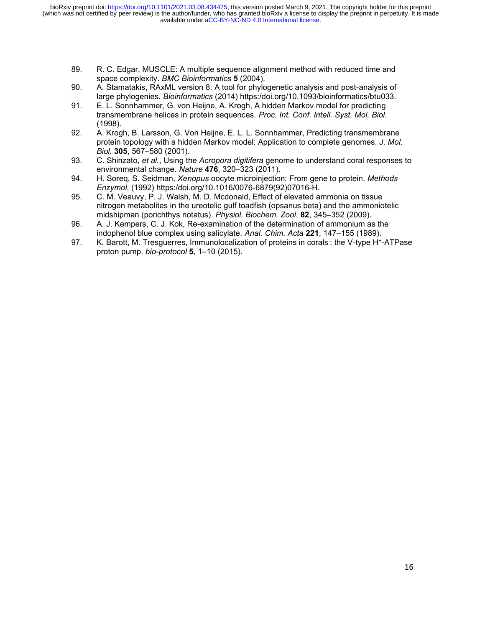- 89. R. C. Edgar, MUSCLE: A multiple sequence alignment method with reduced time and space complexity. *BMC Bioinformatics* **5** (2004).
- 90. A. Stamatakis, RAxML version 8: A tool for phylogenetic analysis and post-analysis of large phylogenies. *Bioinformatics* (2014) https:/doi.org/10.1093/bioinformatics/btu033.
- 91. E. L. Sonnhammer, G. von Heijne, A. Krogh, A hidden Markov model for predicting transmembrane helices in protein sequences. *Proc. Int. Conf. Intell. Syst. Mol. Biol.* (1998).
- 92. A. Krogh, B. Larsson, G. Von Heijne, E. L. L. Sonnhammer, Predicting transmembrane protein topology with a hidden Markov model: Application to complete genomes. *J. Mol. Biol.* **305**, 567–580 (2001).
- 93. C. Shinzato, *et al.*, Using the *Acropora digitifera* genome to understand coral responses to environmental change. *Nature* **476**, 320–323 (2011).
- 94. H. Soreq, S. Seidman, *Xenopus* oocyte microinjection: From gene to protein. *Methods Enzymol.* (1992) https:/doi.org/10.1016/0076-6879(92)07016-H.
- 95. C. M. Veauvy, P. J. Walsh, M. D. Mcdonald, Effect of elevated ammonia on tissue nitrogen metabolites in the ureotelic gulf toadfish (opsanus beta) and the ammoniotelic midshipman (porichthys notatus). *Physiol. Biochem. Zool.* **82**, 345–352 (2009).
- 96. A. J. Kempers, C. J. Kok, Re-examination of the determination of ammonium as the indophenol blue complex using salicylate. *Anal. Chim. Acta* **221**, 147–155 (1989).
- 97. K. Barott, M. Tresguerres, Immunolocalization of proteins in corals : the V-type H<sup>+</sup> -ATPase proton pump. *bio-protocol* **5**, 1–10 (2015).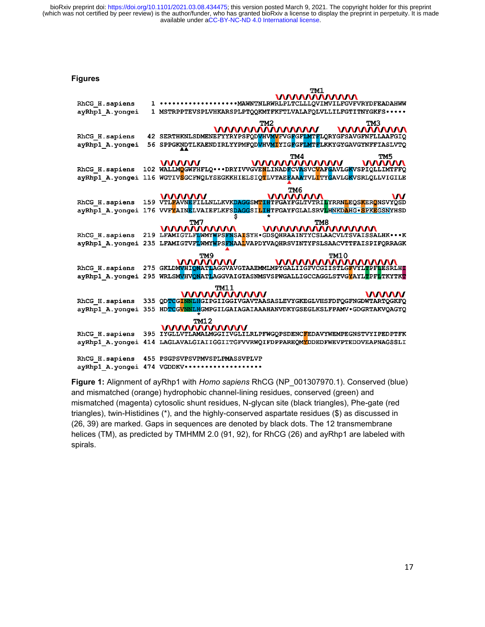**Figures**

|                  |     | TM1                                                                                                              |
|------------------|-----|------------------------------------------------------------------------------------------------------------------|
|                  |     | <b>WWWWWWW</b>                                                                                                   |
| RhCG H. sapiens  |     | *******************MAWNTNLRWRLPLTCLLLQVIMVILFGVFVRYDFEADAHWW                                                     |
| ayRhpl A. yongei |     | 1 MSTRPPTEVSPLVHKARSPLPTQQKMTFKFTLVALAFQLVLLILFGTITNYGKFS * * * * *                                              |
|                  |     | TM2<br>TM3                                                                                                       |
|                  |     | <b>MAAAAAAAAA</b>                                                                                                |
| RhCG H. sapiens  |     | 42 SERTHKNLSDMENEFYYRYPSFQDVHVMVFVGFGFLMTFLQRYGFSAVGFNFLLAAFGIQ                                                  |
| ayRhpl A.yongei  |     | 56 SPPGKNDTLKAENDIRLYYPMFODVHVMIYIGFGFLMTFLKKYGYGAVGYNFFIASLVTO                                                  |
|                  |     |                                                                                                                  |
|                  |     | TM <sub>5</sub><br>TM4                                                                                           |
| RhCG H. sapiens  |     | <b>WWWWWWW</b><br><b>VANAAN</b><br><b>WWWW</b><br>102 WALLMOGWFHFLQ DRYIVVGVENLINADFCVASVCVAFGAVLGKVSPIQLLIMTFFQ |
|                  |     |                                                                                                                  |
| ayRhp1 A.yongei  |     | 116 WGTIVSGCFNQLYSEGKKHIELSIQTLVTAEFAAATVLTTYGAVLGKVSRLQLLVIGILE                                                 |
|                  |     | TM6                                                                                                              |
|                  |     | <b>WWWW</b><br><u>WWWWW</u><br>W                                                                                 |
| RhCG H. sapiens  |     | 159 VTL <mark>F</mark> AVNEFILLNLLKVKDAGGSMTIHTFGAYFGLTVTRILYRRNLEQSKERONSVYQSD                                  |
| ayRhp1 A.yongei  |     | 176 VVFYAINELVAIEFLKFSDAGGSILIHTFGAYFGLALSRVLHNKDAHG • SPKEGSNYHSD                                               |
|                  |     | TM7<br>TM <sub>8</sub>                                                                                           |
|                  |     | <u>WWWWWWW</u><br><b>WWWWWWWWWW</b>                                                                              |
| RhCG H. sapiens  |     | 219 LFAMIGTLFLWMYWPSFNSALSYH.GDSQHRAAINTYCSLAACVLTSVAISSALHKK                                                    |
|                  |     | ayRhp1 A.yonqei 235 LFAMIGTVFLWMYWPSFNAALVAPDYVAQHRSVINTYFSLSAACVTTFAISPIFQRRAGK                                 |
|                  |     |                                                                                                                  |
|                  |     | <b>TM10</b><br>TM <sub>9</sub>                                                                                   |
| RhCG H. sapiens  |     | <b>WWW.WWW.ARTIAGGVAVGTAAEMMLMPYGALITGFVCGITSTLGEVYLTPFTESRLHT</b>                                               |
|                  |     |                                                                                                                  |
| ayRhp1 A. yongei |     | 295 WRLSMVHVONATLAGGVAIGTASNMSVSPWGALLIGCCAGGLSTVGYAYLTPFLTKYTKT                                                 |
|                  |     | <b>TM11</b>                                                                                                      |
|                  |     | <u>WWWWWWWW</u><br><b>VAAAAN</b>                                                                                 |
| RhCG H. sapiens  | 335 | QDTCGINNLHGIPGIIGGIVGAVTAASASLEVYGKEGLVHSFDFQGFNGDWTARTQGKFQ                                                     |
| ayRhpl A.yongei  | 355 | HDTCGVNNLHGMPGILGAIAGAIAAAHANVDKYGSEGLKSLFPAMV.GDGRTAKVQAGYQ                                                     |
|                  |     | <b>TM12</b>                                                                                                      |
|                  |     | <b>WWWWWWW</b>                                                                                                   |
| RhCG H. sapiens  |     | 395 IYGLLVTLAMALMGGIIVGLILRLPFWGQPSDENCFEDAVYWEMPEGNSTVYIPEDPTFK                                                 |
| ayRhp1 A.yongei  |     | 414 LAGLAVALGIAIIGGIITGFVVRWQIFDPPAREQMYDDEDFWEVPTEDDVEAPNAGSSLI                                                 |
|                  |     |                                                                                                                  |
| RhCG H. sapiens  |     | 455 PSGPSVPSVPMVSPLPMASSVPLVP                                                                                    |
|                  |     | avRhp1 A.vongei 474 VGDDKV                                                                                       |

**Figure 1:** Alignment of ayRhp1 with *Homo sapiens* RhCG (NP\_001307970.1). Conserved (blue) and mismatched (orange) hydrophobic channel-lining residues, conserved (green) and mismatched (magenta) cytosolic shunt residues, N-glycan site (black triangles), Phe-gate (red triangles), twin-Histidines (\*), and the highly-conserved aspartate residues (\$) as discussed in (26, 39) are marked. Gaps in sequences are denoted by black dots. The 12 transmembrane helices (TM), as predicted by TMHMM 2.0 (91, 92), for RhCG (26) and ayRhp1 are labeled with spirals.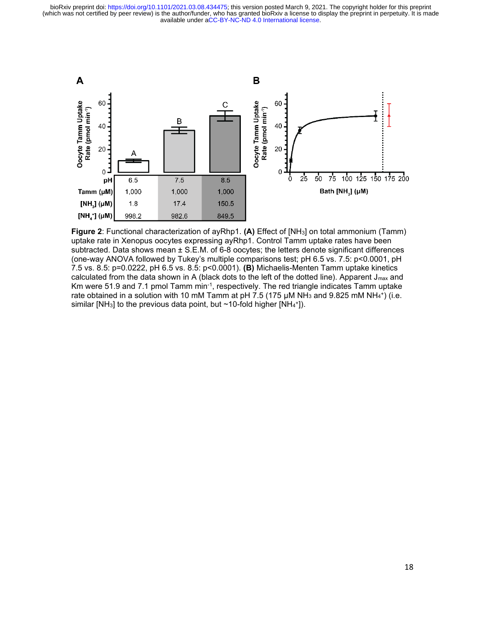

**Figure 2**: Functional characterization of ayRhp1. **(A)** Effect of [NH3] on total ammonium (Tamm) uptake rate in Xenopus oocytes expressing ayRhp1. Control Tamm uptake rates have been subtracted. Data shows mean  $\pm$  S.E.M. of 6-8 oocytes; the letters denote significant differences (one-way ANOVA followed by Tukey's multiple comparisons test; pH 6.5 vs. 7.5: p<0.0001, pH 7.5 vs. 8.5: p=0.0222, pH 6.5 vs. 8.5: p<0.0001). **(B)** Michaelis-Menten Tamm uptake kinetics calculated from the data shown in A (black dots to the left of the dotted line). Apparent J<sub>max</sub> and Km were 51.9 and 7.1 pmol Tamm min-1 , respectively. The red triangle indicates Tamm uptake rate obtained in a solution with 10 mM Tamm at pH 7.5 (175  $\mu$ M NH $_3$  and 9.825 mM NH $_4^{\ast}$ ) (i.e. similar [NH<sub>3</sub>] to the previous data point, but  $\sim$ 10-fold higher [NH<sub>4</sub>+]).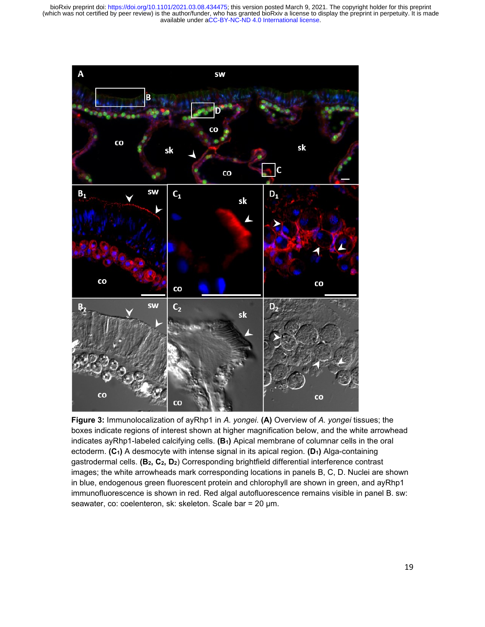

**Figure 3:** Immunolocalization of ayRhp1 in *A. yongei*. **(A)** Overview of *A. yongei* tissues; the boxes indicate regions of interest shown at higher magnification below, and the white arrowhead indicates ayRhp1-labeled calcifying cells. **(B1)** Apical membrane of columnar cells in the oral ectoderm. **(C1)** A desmocyte with intense signal in its apical region. **(D1)** Alga-containing gastrodermal cells. **(B2, C2, D2**) Corresponding brightfield differential interference contrast images; the white arrowheads mark corresponding locations in panels B, C, D. Nuclei are shown in blue, endogenous green fluorescent protein and chlorophyll are shown in green, and ayRhp1 immunofluorescence is shown in red. Red algal autofluorescence remains visible in panel B. sw: seawater, co: coelenteron, sk: skeleton. Scale bar = 20 µm.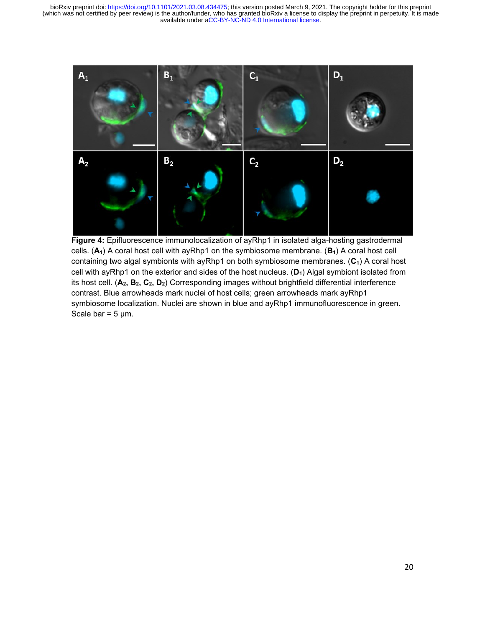

**Figure 4:** Epifluorescence immunolocalization of ayRhp1 in isolated alga-hosting gastrodermal cells. (**A1**) A coral host cell with ayRhp1 on the symbiosome membrane. (**B1**) A coral host cell containing two algal symbionts with ayRhp1 on both symbiosome membranes. (**C1**) A coral host cell with ayRhp1 on the exterior and sides of the host nucleus. (**D1**) Algal symbiont isolated from its host cell. (**A2, B2, C2, D2**) Corresponding images without brightfield differential interference contrast. Blue arrowheads mark nuclei of host cells; green arrowheads mark ayRhp1 symbiosome localization. Nuclei are shown in blue and ayRhp1 immunofluorescence in green. Scale bar =  $5 \mu m$ .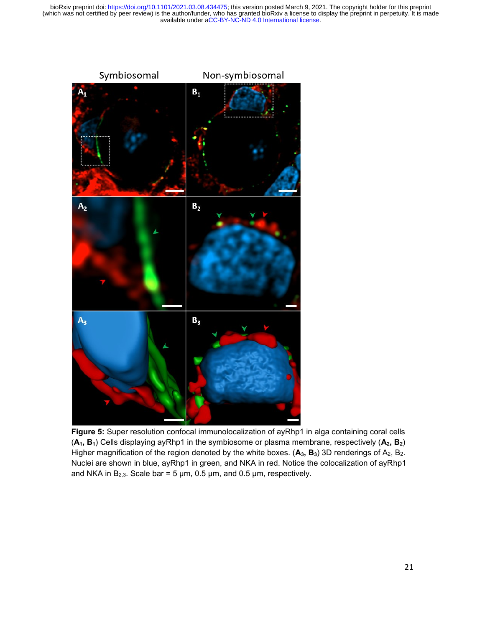

**Figure 5:** Super resolution confocal immunolocalization of ayRhp1 in alga containing coral cells (**A1, B1**) Cells displaying ayRhp1 in the symbiosome or plasma membrane, respectively (**A2, B2**) Higher magnification of the region denoted by the white boxes. (**A3, B3**) 3D renderings of A2, B2. Nuclei are shown in blue, ayRhp1 in green, and NKA in red. Notice the colocalization of ayRhp1 and NKA in  $B_{2,3}$ . Scale bar = 5  $\mu$ m, 0.5  $\mu$ m, and 0.5  $\mu$ m, respectively.